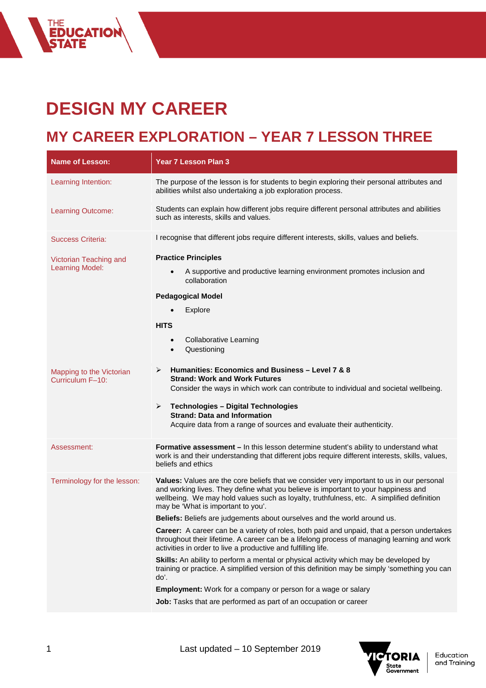## **DESIGN MY CAREER**

THE<br>**Education**<br><mark>State</mark>

### **MY CAREER EXPLORATION – YEAR 7 LESSON THREE**

| <b>Name of Lesson:</b>                           | <b>Year 7 Lesson Plan 3</b>                                                                                                                                                                                                                                                                                                                                                                                                                                                                                                                                                                                                                                                                                                                                                                                                                                    |
|--------------------------------------------------|----------------------------------------------------------------------------------------------------------------------------------------------------------------------------------------------------------------------------------------------------------------------------------------------------------------------------------------------------------------------------------------------------------------------------------------------------------------------------------------------------------------------------------------------------------------------------------------------------------------------------------------------------------------------------------------------------------------------------------------------------------------------------------------------------------------------------------------------------------------|
| Learning Intention:                              | The purpose of the lesson is for students to begin exploring their personal attributes and<br>abilities whilst also undertaking a job exploration process.                                                                                                                                                                                                                                                                                                                                                                                                                                                                                                                                                                                                                                                                                                     |
| Learning Outcome:                                | Students can explain how different jobs require different personal attributes and abilities<br>such as interests, skills and values.                                                                                                                                                                                                                                                                                                                                                                                                                                                                                                                                                                                                                                                                                                                           |
| <b>Success Criteria:</b>                         | I recognise that different jobs require different interests, skills, values and beliefs.                                                                                                                                                                                                                                                                                                                                                                                                                                                                                                                                                                                                                                                                                                                                                                       |
| Victorian Teaching and<br><b>Learning Model:</b> | <b>Practice Principles</b><br>A supportive and productive learning environment promotes inclusion and<br>collaboration<br><b>Pedagogical Model</b>                                                                                                                                                                                                                                                                                                                                                                                                                                                                                                                                                                                                                                                                                                             |
|                                                  | Explore<br><b>HITS</b><br><b>Collaborative Learning</b><br>$\bullet$<br>Questioning<br>$\bullet$                                                                                                                                                                                                                                                                                                                                                                                                                                                                                                                                                                                                                                                                                                                                                               |
| Mapping to the Victorian<br>Curriculum F-10:     | Humanities: Economics and Business - Level 7 & 8<br>➤<br><b>Strand: Work and Work Futures</b><br>Consider the ways in which work can contribute to individual and societal wellbeing.<br><b>Technologies - Digital Technologies</b><br>➤<br><b>Strand: Data and Information</b><br>Acquire data from a range of sources and evaluate their authenticity.                                                                                                                                                                                                                                                                                                                                                                                                                                                                                                       |
| Assessment:                                      | Formative assessment - In this lesson determine student's ability to understand what<br>work is and their understanding that different jobs require different interests, skills, values,<br>beliefs and ethics                                                                                                                                                                                                                                                                                                                                                                                                                                                                                                                                                                                                                                                 |
| Terminology for the lesson:                      | Values: Values are the core beliefs that we consider very important to us in our personal<br>and working lives. They define what you believe is important to your happiness and<br>wellbeing. We may hold values such as loyalty, truthfulness, etc. A simplified definition<br>may be 'What is important to you'.<br>Beliefs: Beliefs are judgements about ourselves and the world around us.<br><b>Career:</b> A career can be a variety of roles, both paid and unpaid, that a person undertakes<br>throughout their lifetime. A career can be a lifelong process of managing learning and work<br>activities in order to live a productive and fulfilling life.<br>Skills: An ability to perform a mental or physical activity which may be developed by<br>training or practice. A simplified version of this definition may be simply 'something you can |
|                                                  | do'.<br><b>Employment:</b> Work for a company or person for a wage or salary                                                                                                                                                                                                                                                                                                                                                                                                                                                                                                                                                                                                                                                                                                                                                                                   |
|                                                  | Job: Tasks that are performed as part of an occupation or career                                                                                                                                                                                                                                                                                                                                                                                                                                                                                                                                                                                                                                                                                                                                                                                               |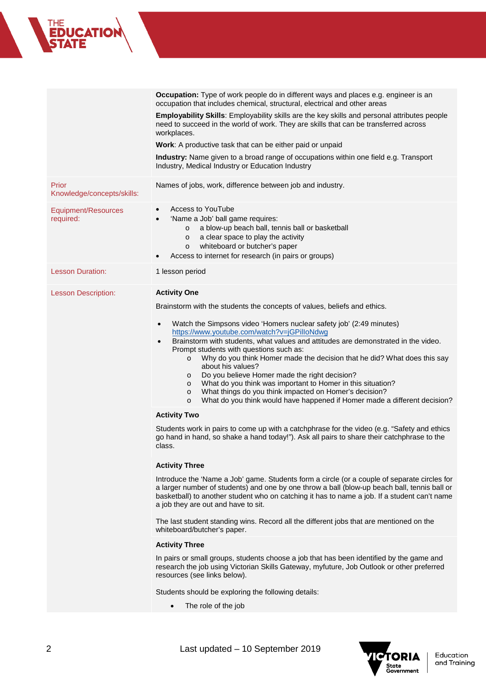# THE<br>**EDUCATION**<br>S**TATE**

|                                     | Occupation: Type of work people do in different ways and places e.g. engineer is an<br>occupation that includes chemical, structural, electrical and other areas                                                                                                                                                                                                                                                                                                                                                                                                                                                                                                                |
|-------------------------------------|---------------------------------------------------------------------------------------------------------------------------------------------------------------------------------------------------------------------------------------------------------------------------------------------------------------------------------------------------------------------------------------------------------------------------------------------------------------------------------------------------------------------------------------------------------------------------------------------------------------------------------------------------------------------------------|
|                                     | Employability Skills: Employability skills are the key skills and personal attributes people<br>need to succeed in the world of work. They are skills that can be transferred across<br>workplaces.                                                                                                                                                                                                                                                                                                                                                                                                                                                                             |
|                                     | Work: A productive task that can be either paid or unpaid                                                                                                                                                                                                                                                                                                                                                                                                                                                                                                                                                                                                                       |
|                                     | Industry: Name given to a broad range of occupations within one field e.g. Transport<br>Industry, Medical Industry or Education Industry                                                                                                                                                                                                                                                                                                                                                                                                                                                                                                                                        |
| Prior<br>Knowledge/concepts/skills: | Names of jobs, work, difference between job and industry.                                                                                                                                                                                                                                                                                                                                                                                                                                                                                                                                                                                                                       |
| Equipment/Resources<br>required:    | Access to YouTube<br>$\bullet$<br>'Name a Job' ball game requires:<br>$\bullet$<br>a blow-up beach ball, tennis ball or basketball<br>$\circ$<br>a clear space to play the activity<br>$\circ$<br>whiteboard or butcher's paper<br>$\circ$<br>Access to internet for research (in pairs or groups)<br>$\bullet$                                                                                                                                                                                                                                                                                                                                                                 |
| <b>Lesson Duration:</b>             | 1 lesson period                                                                                                                                                                                                                                                                                                                                                                                                                                                                                                                                                                                                                                                                 |
| <b>Lesson Description:</b>          | <b>Activity One</b><br>Brainstorm with the students the concepts of values, beliefs and ethics.                                                                                                                                                                                                                                                                                                                                                                                                                                                                                                                                                                                 |
|                                     | Watch the Simpsons video 'Homers nuclear safety job' (2:49 minutes)<br>$\bullet$<br>https://www.youtube.com/watch?v=jGPilloNdwg<br>Brainstorm with students, what values and attitudes are demonstrated in the video.<br>Prompt students with questions such as:<br>Why do you think Homer made the decision that he did? What does this say<br>$\circ$<br>about his values?<br>Do you believe Homer made the right decision?<br>$\circ$<br>What do you think was important to Homer in this situation?<br>$\circ$<br>What things do you think impacted on Homer's decision?<br>$\circ$<br>What do you think would have happened if Homer made a different decision?<br>$\circ$ |
|                                     | <b>Activity Two</b>                                                                                                                                                                                                                                                                                                                                                                                                                                                                                                                                                                                                                                                             |
|                                     | Students work in pairs to come up with a catchphrase for the video (e.g. "Safety and ethics<br>go hand in hand, so shake a hand today!"). Ask all pairs to share their catchphrase to the<br>class.                                                                                                                                                                                                                                                                                                                                                                                                                                                                             |
|                                     | <b>Activity Three</b>                                                                                                                                                                                                                                                                                                                                                                                                                                                                                                                                                                                                                                                           |
|                                     | Introduce the 'Name a Job' game. Students form a circle (or a couple of separate circles for<br>a larger number of students) and one by one throw a ball (blow-up beach ball, tennis ball or<br>basketball) to another student who on catching it has to name a job. If a student can't name<br>a job they are out and have to sit.                                                                                                                                                                                                                                                                                                                                             |
|                                     | The last student standing wins. Record all the different jobs that are mentioned on the<br>whiteboard/butcher's paper.                                                                                                                                                                                                                                                                                                                                                                                                                                                                                                                                                          |
|                                     | <b>Activity Three</b>                                                                                                                                                                                                                                                                                                                                                                                                                                                                                                                                                                                                                                                           |
|                                     | In pairs or small groups, students choose a job that has been identified by the game and<br>research the job using Victorian Skills Gateway, myfuture, Job Outlook or other preferred<br>resources (see links below).                                                                                                                                                                                                                                                                                                                                                                                                                                                           |
|                                     | Students should be exploring the following details:<br>The role of the job                                                                                                                                                                                                                                                                                                                                                                                                                                                                                                                                                                                                      |
|                                     |                                                                                                                                                                                                                                                                                                                                                                                                                                                                                                                                                                                                                                                                                 |

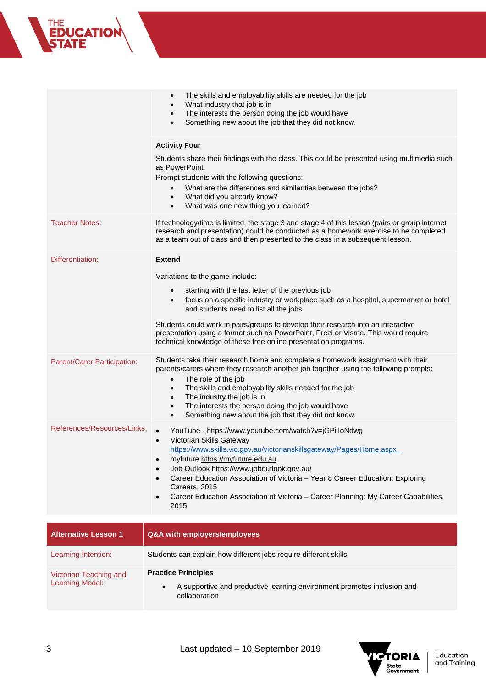|                             | The skills and employability skills are needed for the job<br>$\bullet$<br>What industry that job is in<br>$\bullet$<br>The interests the person doing the job would have<br>$\bullet$<br>Something new about the job that they did not know.                                                                                                                                                                                                                                                    |
|-----------------------------|--------------------------------------------------------------------------------------------------------------------------------------------------------------------------------------------------------------------------------------------------------------------------------------------------------------------------------------------------------------------------------------------------------------------------------------------------------------------------------------------------|
|                             | <b>Activity Four</b>                                                                                                                                                                                                                                                                                                                                                                                                                                                                             |
|                             | Students share their findings with the class. This could be presented using multimedia such<br>as PowerPoint.<br>Prompt students with the following questions:<br>What are the differences and similarities between the jobs?<br>$\bullet$<br>What did you already know?<br>$\bullet$<br>What was one new thing you learned?                                                                                                                                                                     |
| <b>Teacher Notes:</b>       | If technology/time is limited, the stage 3 and stage 4 of this lesson (pairs or group internet<br>research and presentation) could be conducted as a homework exercise to be completed<br>as a team out of class and then presented to the class in a subsequent lesson.                                                                                                                                                                                                                         |
| Differentiation:            | <b>Extend</b>                                                                                                                                                                                                                                                                                                                                                                                                                                                                                    |
|                             | Variations to the game include:                                                                                                                                                                                                                                                                                                                                                                                                                                                                  |
|                             | starting with the last letter of the previous job<br>$\bullet$<br>focus on a specific industry or workplace such as a hospital, supermarket or hotel<br>$\bullet$<br>and students need to list all the jobs                                                                                                                                                                                                                                                                                      |
|                             | Students could work in pairs/groups to develop their research into an interactive<br>presentation using a format such as PowerPoint, Prezi or Visme. This would require<br>technical knowledge of these free online presentation programs.                                                                                                                                                                                                                                                       |
| Parent/Carer Participation: | Students take their research home and complete a homework assignment with their<br>parents/carers where they research another job together using the following prompts:<br>The role of the job<br>$\bullet$<br>The skills and employability skills needed for the job<br>$\bullet$<br>The industry the job is in<br>$\bullet$<br>The interests the person doing the job would have<br>$\bullet$<br>Something new about the job that they did not know.<br>$\bullet$                              |
| References/Resources/Links: | YouTube - https://www.youtube.com/watch?v=jGPilloNdwg<br>Victorian Skills Gateway<br>https://www.skills.vic.gov.au/victorianskillsgateway/Pages/Home.aspx<br>myfuture https://myfuture.edu.au<br>$\bullet$<br>Job Outlook https://www.joboutlook.gov.au/<br>$\bullet$<br>Career Education Association of Victoria - Year 8 Career Education: Exploring<br>$\bullet$<br>Careers, 2015<br>Career Education Association of Victoria - Career Planning: My Career Capabilities,<br>$\bullet$<br>2015 |
| <b>Alternative Lesson 1</b> | Q&A with employers/employees                                                                                                                                                                                                                                                                                                                                                                                                                                                                     |
| Learning Intention:         | Students can explain how different jobs require different skills                                                                                                                                                                                                                                                                                                                                                                                                                                 |

| Victorian Teaching and<br>Learning Model: | <b>Practice Principles</b>                                                               |
|-------------------------------------------|------------------------------------------------------------------------------------------|
|                                           | A supportive and productive learning environment promotes inclusion and<br>collaboration |



THE<br>**EDUCATION**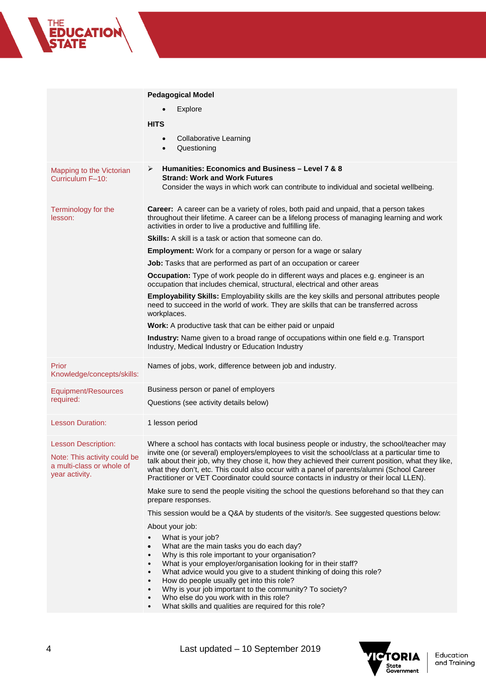#### **Pedagogical Model** • Explore **HITS** • Collaborative Learning • Questioning Mapping to the Victorian Curriculum F–10: **Humanities: Economics and Business – Level 7 & 8 Strand: Work and Work Futures** Consider the ways in which work can contribute to individual and societal wellbeing. Terminology for the lesson: **Career:** A career can be a variety of roles, both paid and unpaid, that a person takes throughout their lifetime. A career can be a lifelong process of managing learning and work activities in order to live a productive and fulfilling life. **Skills:** A skill is a task or action that someone can do. **Employment:** Work for a company or person for a wage or salary **Job:** Tasks that are performed as part of an occupation or career **Occupation:** Type of work people do in different ways and places e.g. engineer is an occupation that includes chemical, structural, electrical and other areas **Employability Skills:** Employability skills are the key skills and personal attributes people need to succeed in the world of work. They are skills that can be transferred across workplaces. **Work:** A productive task that can be either paid or unpaid **Industry:** Name given to a broad range of occupations within one field e.g. Transport Industry, Medical Industry or Education Industry Prior Knowledge/concepts/skills: Names of jobs, work, difference between job and industry. Equipment/Resources required: Business person or panel of employers Questions (see activity details below) Lesson Duration: 1 lesson period Lesson Description: Note: This activity could be a multi-class or whole of year activity. Where a school has contacts with local business people or industry, the school/teacher may invite one (or several) employers/employees to visit the school/class at a particular time to talk about their job, why they chose it, how they achieved their current position, what they like, what they don't, etc. This could also occur with a panel of parents/alumni (School Career Practitioner or VET Coordinator could source contacts in industry or their local LLEN). Make sure to send the people visiting the school the questions beforehand so that they can prepare responses. This session would be a Q&A by students of the visitor/s. See suggested questions below: About your job: What is your job? • What are the main tasks you do each day? Why is this role important to your organisation? What is your employer/organisation looking for in their staff? • What advice would you give to a student thinking of doing this role? • How do people usually get into this role? • Why is your job important to the community? To society? Who else do you work with in this role?

• What skills and qualities are required for this role?



**CATIO**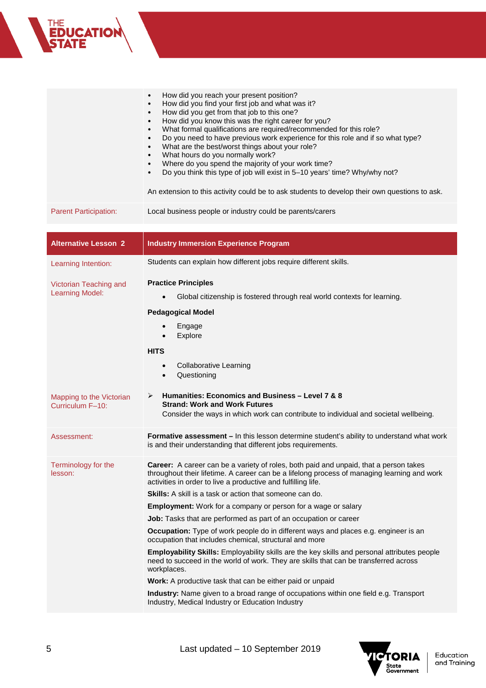|                                                  | How did you reach your present position?<br>How did you find your first job and what was it?<br>$\bullet$<br>How did you get from that job to this one?<br>$\bullet$<br>How did you know this was the right career for you?<br>$\bullet$<br>What formal qualifications are required/recommended for this role?<br>$\bullet$<br>Do you need to have previous work experience for this role and if so what type?<br>$\bullet$<br>What are the best/worst things about your role?<br>$\bullet$<br>What hours do you normally work?<br>$\bullet$<br>Where do you spend the majority of your work time?<br>$\bullet$<br>Do you think this type of job will exist in 5-10 years' time? Why/why not?<br>$\bullet$<br>An extension to this activity could be to ask students to develop their own questions to ask.                                                                                                                                                                                                                           |
|--------------------------------------------------|---------------------------------------------------------------------------------------------------------------------------------------------------------------------------------------------------------------------------------------------------------------------------------------------------------------------------------------------------------------------------------------------------------------------------------------------------------------------------------------------------------------------------------------------------------------------------------------------------------------------------------------------------------------------------------------------------------------------------------------------------------------------------------------------------------------------------------------------------------------------------------------------------------------------------------------------------------------------------------------------------------------------------------------|
| <b>Parent Participation:</b>                     | Local business people or industry could be parents/carers                                                                                                                                                                                                                                                                                                                                                                                                                                                                                                                                                                                                                                                                                                                                                                                                                                                                                                                                                                             |
| <b>Alternative Lesson 2</b>                      | <b>Industry Immersion Experience Program</b>                                                                                                                                                                                                                                                                                                                                                                                                                                                                                                                                                                                                                                                                                                                                                                                                                                                                                                                                                                                          |
| Learning Intention:                              | Students can explain how different jobs require different skills.                                                                                                                                                                                                                                                                                                                                                                                                                                                                                                                                                                                                                                                                                                                                                                                                                                                                                                                                                                     |
| Victorian Teaching and<br><b>Learning Model:</b> | <b>Practice Principles</b><br>Global citizenship is fostered through real world contexts for learning.<br><b>Pedagogical Model</b><br>Engage<br>$\bullet$<br>Explore<br><b>HITS</b><br><b>Collaborative Learning</b><br>$\bullet$<br>Questioning<br>$\bullet$                                                                                                                                                                                                                                                                                                                                                                                                                                                                                                                                                                                                                                                                                                                                                                         |
| Mapping to the Victorian<br>Curriculum F-10:     | Humanities: Economics and Business - Level 7 & 8<br>➤<br><b>Strand: Work and Work Futures</b><br>Consider the ways in which work can contribute to individual and societal wellbeing.                                                                                                                                                                                                                                                                                                                                                                                                                                                                                                                                                                                                                                                                                                                                                                                                                                                 |
| Assessment:                                      | Formative assessment - In this lesson determine student's ability to understand what work<br>is and their understanding that different jobs requirements.                                                                                                                                                                                                                                                                                                                                                                                                                                                                                                                                                                                                                                                                                                                                                                                                                                                                             |
| Terminology for the<br>lesson:                   | Career: A career can be a variety of roles, both paid and unpaid, that a person takes<br>throughout their lifetime. A career can be a lifelong process of managing learning and work<br>activities in order to live a productive and fulfilling life.<br><b>Skills:</b> A skill is a task or action that someone can do.<br><b>Employment:</b> Work for a company or person for a wage or salary<br>Job: Tasks that are performed as part of an occupation or career<br>Occupation: Type of work people do in different ways and places e.g. engineer is an<br>occupation that includes chemical, structural and more<br>Employability Skills: Employability skills are the key skills and personal attributes people<br>need to succeed in the world of work. They are skills that can be transferred across<br>workplaces.<br>Work: A productive task that can be either paid or unpaid<br>Industry: Name given to a broad range of occupations within one field e.g. Transport<br>Industry, Medical Industry or Education Industry |



THE<br>**EDUCATION**